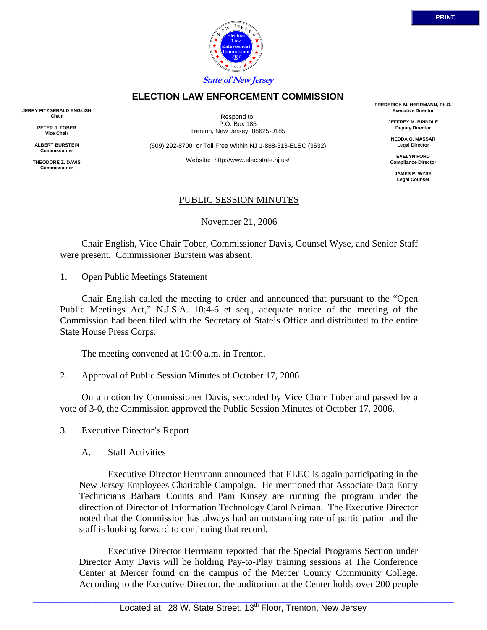

## **ELECTION LAW ENFORCEMENT COMMISSION**

**JERRY FITZGERALD ENGLISH Chair** 

> **PETER J. TOBER Vice Chair**

**ALBERT BURSTEIN Commissioner** 

**THEODORE Z. DAVIS Commissione** 

Respond to: P.O. Box 185 Trenton, New Jersey 08625-0185

(609) 292-8700 or Toll Free Within NJ 1-888-313-ELEC (3532)

Website: http://www.elec.state.nj.us/

**FREDERICK M. HERRMANN, Ph.D. Executive Director** 

> **JEFFREY M. BRINDLE Deputy Director**

**NEDDA G. MASSAR Legal Director** 

**EVELYN FORD Compliance Director** 

> **JAMES P. WYSE Legal Counsel**

## PUBLIC SESSION MINUTES

November 21, 2006

 Chair English, Vice Chair Tober, Commissioner Davis, Counsel Wyse, and Senior Staff were present. Commissioner Burstein was absent.

#### 1. Open Public Meetings Statement

 Chair English called the meeting to order and announced that pursuant to the "Open Public Meetings Act," N.J.S.A. 10:4-6 et seq., adequate notice of the meeting of the Commission had been filed with the Secretary of State's Office and distributed to the entire State House Press Corps.

The meeting convened at 10:00 a.m. in Trenton.

### 2. Approval of Public Session Minutes of October 17, 2006

 On a motion by Commissioner Davis, seconded by Vice Chair Tober and passed by a vote of 3-0, the Commission approved the Public Session Minutes of October 17, 2006.

### 3. Executive Director's Report

### A. Staff Activities

 Executive Director Herrmann announced that ELEC is again participating in the New Jersey Employees Charitable Campaign. He mentioned that Associate Data Entry Technicians Barbara Counts and Pam Kinsey are running the program under the direction of Director of Information Technology Carol Neiman. The Executive Director noted that the Commission has always had an outstanding rate of participation and the staff is looking forward to continuing that record.

 Executive Director Herrmann reported that the Special Programs Section under Director Amy Davis will be holding Pay-to-Play training sessions at The Conference Center at Mercer found on the campus of the Mercer County Community College. According to the Executive Director, the auditorium at the Center holds over 200 people

 $\Box$  . The contribution of the contribution of the contribution of the contribution of the contribution of the contribution of the contribution of the contribution of the contribution of the contribution of the contributi

Located at: 28 W. State Street, 13<sup>th</sup> Floor, Trenton, New Jersey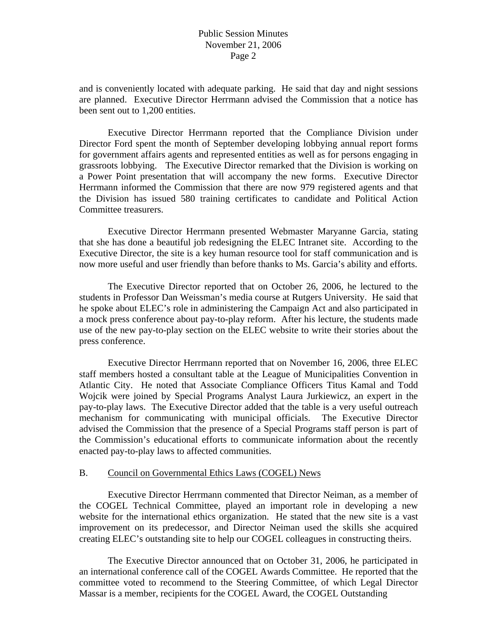and is conveniently located with adequate parking. He said that day and night sessions are planned. Executive Director Herrmann advised the Commission that a notice has been sent out to 1,200 entities.

 Executive Director Herrmann reported that the Compliance Division under Director Ford spent the month of September developing lobbying annual report forms for government affairs agents and represented entities as well as for persons engaging in grassroots lobbying. The Executive Director remarked that the Division is working on a Power Point presentation that will accompany the new forms. Executive Director Herrmann informed the Commission that there are now 979 registered agents and that the Division has issued 580 training certificates to candidate and Political Action Committee treasurers.

 Executive Director Herrmann presented Webmaster Maryanne Garcia, stating that she has done a beautiful job redesigning the ELEC Intranet site. According to the Executive Director, the site is a key human resource tool for staff communication and is now more useful and user friendly than before thanks to Ms. Garcia's ability and efforts.

 The Executive Director reported that on October 26, 2006, he lectured to the students in Professor Dan Weissman's media course at Rutgers University. He said that he spoke about ELEC's role in administering the Campaign Act and also participated in a mock press conference about pay-to-play reform. After his lecture, the students made use of the new pay-to-play section on the ELEC website to write their stories about the press conference.

 Executive Director Herrmann reported that on November 16, 2006, three ELEC staff members hosted a consultant table at the League of Municipalities Convention in Atlantic City. He noted that Associate Compliance Officers Titus Kamal and Todd Wojcik were joined by Special Programs Analyst Laura Jurkiewicz, an expert in the pay-to-play laws. The Executive Director added that the table is a very useful outreach mechanism for communicating with municipal officials. The Executive Director advised the Commission that the presence of a Special Programs staff person is part of the Commission's educational efforts to communicate information about the recently enacted pay-to-play laws to affected communities.

### B. Council on Governmental Ethics Laws (COGEL) News

 Executive Director Herrmann commented that Director Neiman, as a member of the COGEL Technical Committee, played an important role in developing a new website for the international ethics organization. He stated that the new site is a vast improvement on its predecessor, and Director Neiman used the skills she acquired creating ELEC's outstanding site to help our COGEL colleagues in constructing theirs.

 The Executive Director announced that on October 31, 2006, he participated in an international conference call of the COGEL Awards Committee. He reported that the committee voted to recommend to the Steering Committee, of which Legal Director Massar is a member, recipients for the COGEL Award, the COGEL Outstanding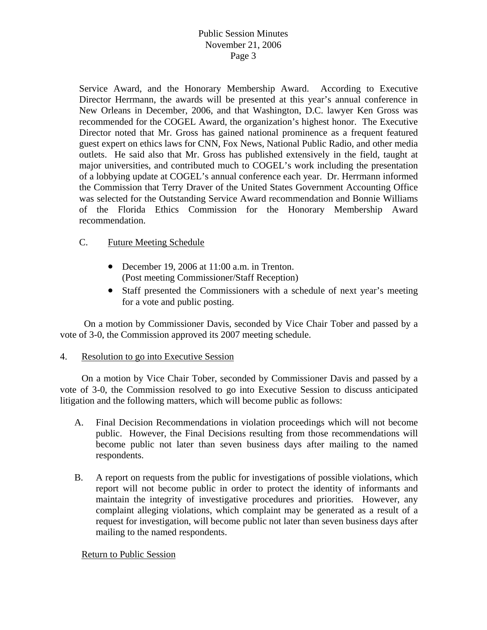# Public Session Minutes November 21, 2006 Page 3

Service Award, and the Honorary Membership Award. According to Executive Director Herrmann, the awards will be presented at this year's annual conference in New Orleans in December, 2006, and that Washington, D.C. lawyer Ken Gross was recommended for the COGEL Award, the organization's highest honor. The Executive Director noted that Mr. Gross has gained national prominence as a frequent featured guest expert on ethics laws for CNN, Fox News, National Public Radio, and other media outlets. He said also that Mr. Gross has published extensively in the field, taught at major universities, and contributed much to COGEL's work including the presentation of a lobbying update at COGEL's annual conference each year. Dr. Herrmann informed the Commission that Terry Draver of the United States Government Accounting Office was selected for the Outstanding Service Award recommendation and Bonnie Williams of the Florida Ethics Commission for the Honorary Membership Award recommendation.

## C. Future Meeting Schedule

- December 19, 2006 at 11:00 a.m. in Trenton. (Post meeting Commissioner/Staff Reception)
- Staff presented the Commissioners with a schedule of next year's meeting for a vote and public posting.

 On a motion by Commissioner Davis, seconded by Vice Chair Tober and passed by a vote of 3-0, the Commission approved its 2007 meeting schedule.

## 4. Resolution to go into Executive Session

 On a motion by Vice Chair Tober, seconded by Commissioner Davis and passed by a vote of 3-0, the Commission resolved to go into Executive Session to discuss anticipated litigation and the following matters, which will become public as follows:

- A. Final Decision Recommendations in violation proceedings which will not become public. However, the Final Decisions resulting from those recommendations will become public not later than seven business days after mailing to the named respondents.
- B. A report on requests from the public for investigations of possible violations, which report will not become public in order to protect the identity of informants and maintain the integrity of investigative procedures and priorities. However, any complaint alleging violations, which complaint may be generated as a result of a request for investigation, will become public not later than seven business days after mailing to the named respondents.

## Return to Public Session